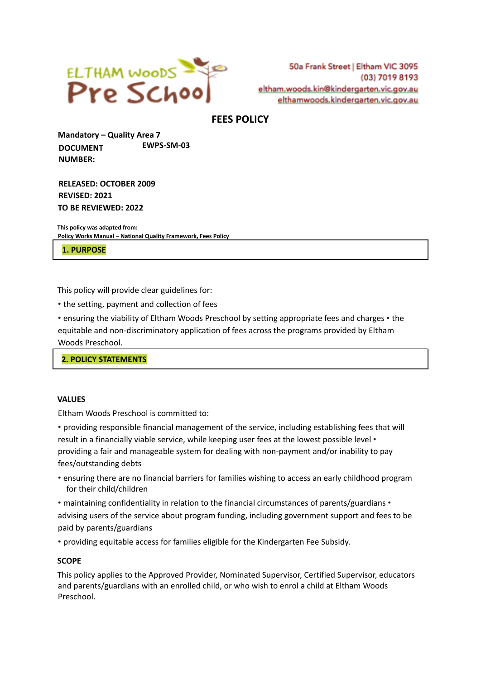

50a Frank Street | Eltham VIC 3095 (03) 7019 8193 eltham.woods.kin@kindergarten.vic.gov.au elthamwoods.kindergarten.vic.gov.au

# **FEES POLICY**

**Mandatory – Quality Area 7 DOCUMENT NUMBER: EWPS-SM-03**

**RELEASED: OCTOBER 2009 REVISED: 2021 TO BE REVIEWED: 2022**

**This policy was adapted from: Policy Works Manual – National Quality Framework, Fees Policy**

**1. PURPOSE**

This policy will provide clear guidelines for:

• the setting, payment and collection of fees

• ensuring the viability of Eltham Woods Preschool by setting appropriate fees and charges • the equitable and non-discriminatory application of fees across the programs provided by Eltham Woods Preschool.

**2. POLICY STATEMENTS**

### **VALUES**

Eltham Woods Preschool is committed to:

• providing responsible financial management of the service, including establishing fees that will result in a financially viable service, while keeping user fees at the lowest possible level • providing a fair and manageable system for dealing with non-payment and/or inability to pay fees/outstanding debts

• ensuring there are no financial barriers for families wishing to access an early childhood program for their child/children

• maintaining confidentiality in relation to the financial circumstances of parents/guardians • advising users of the service about program funding, including government support and fees to be paid by parents/guardians

• providing equitable access for families eligible for the Kindergarten Fee Subsidy.

#### **SCOPE**

This policy applies to the Approved Provider, Nominated Supervisor, Certified Supervisor, educators and parents/guardians with an enrolled child, or who wish to enrol a child at Eltham Woods Preschool.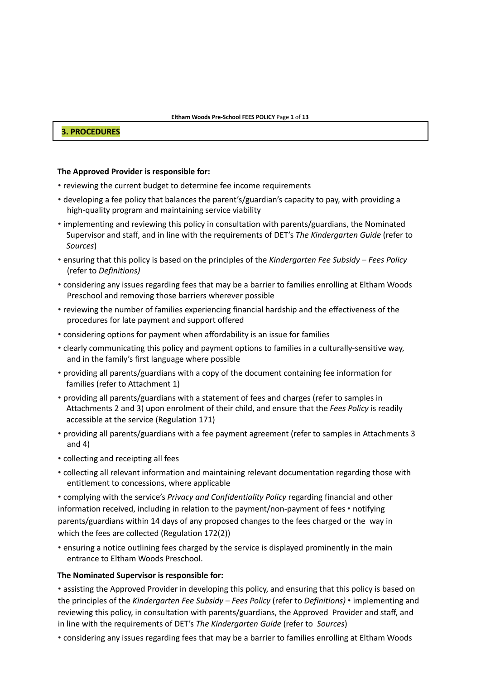#### **3. PROCEDURES**

#### **The Approved Provider is responsible for:**

- reviewing the current budget to determine fee income requirements
- developing a fee policy that balances the parent's/guardian's capacity to pay, with providing a high-quality program and maintaining service viability
- implementing and reviewing this policy in consultation with parents/guardians, the Nominated Supervisor and staff, and in line with the requirements of DET's *The Kindergarten Guide* (refer to *Sources*)
- ensuring that this policy is based on the principles of the *Kindergarten Fee Subsidy – Fees Policy* (refer to *Definitions)*
- considering any issues regarding fees that may be a barrier to families enrolling at Eltham Woods Preschool and removing those barriers wherever possible
- reviewing the number of families experiencing financial hardship and the effectiveness of the procedures for late payment and support offered
- considering options for payment when affordability is an issue for families
- clearly communicating this policy and payment options to families in a culturally-sensitive way, and in the family's first language where possible
- providing all parents/guardians with a copy of the document containing fee information for families (refer to Attachment 1)
- providing all parents/guardians with a statement of fees and charges (refer to samples in Attachments 2 and 3) upon enrolment of their child, and ensure that the *Fees Policy* is readily accessible at the service (Regulation 171)
- providing all parents/guardians with a fee payment agreement (refer to samples in Attachments 3 and 4)
- collecting and receipting all fees
- collecting all relevant information and maintaining relevant documentation regarding those with entitlement to concessions, where applicable

• complying with the service's *Privacy and Confidentiality Policy* regarding financial and other information received, including in relation to the payment/non-payment of fees • notifying parents/guardians within 14 days of any proposed changes to the fees charged or the way in which the fees are collected (Regulation 172(2))

• ensuring a notice outlining fees charged by the service is displayed prominently in the main entrance to Eltham Woods Preschool.

#### **The Nominated Supervisor is responsible for:**

• assisting the Approved Provider in developing this policy, and ensuring that this policy is based on the principles of the *Kindergarten Fee Subsidy – Fees Policy* (refer to *Definitions)* • implementing and reviewing this policy, in consultation with parents/guardians, the Approved Provider and staff, and in line with the requirements of DET's *The Kindergarten Guide* (refer to *Sources*)

• considering any issues regarding fees that may be a barrier to families enrolling at Eltham Woods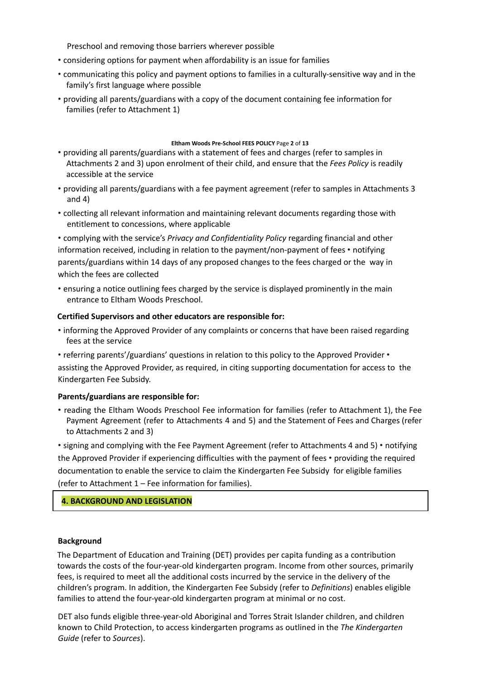Preschool and removing those barriers wherever possible

- considering options for payment when affordability is an issue for families
- communicating this policy and payment options to families in a culturally-sensitive way and in the family's first language where possible
- providing all parents/guardians with a copy of the document containing fee information for families (refer to Attachment 1)

#### **Eltham Woods Pre-School FEES POLICY** Page **2** of **13**

- providing all parents/guardians with a statement of fees and charges (refer to samples in Attachments 2 and 3) upon enrolment of their child, and ensure that the *Fees Policy* is readily accessible at the service
- providing all parents/guardians with a fee payment agreement (refer to samples in Attachments 3 and 4)
- collecting all relevant information and maintaining relevant documents regarding those with entitlement to concessions, where applicable

• complying with the service's *Privacy and Confidentiality Policy* regarding financial and other information received, including in relation to the payment/non-payment of fees • notifying parents/guardians within 14 days of any proposed changes to the fees charged or the way in which the fees are collected

• ensuring a notice outlining fees charged by the service is displayed prominently in the main entrance to Eltham Woods Preschool.

#### **Certified Supervisors and other educators are responsible for:**

- informing the Approved Provider of any complaints or concerns that have been raised regarding fees at the service
- referring parents'/guardians' questions in relation to this policy to the Approved Provider assisting the Approved Provider, as required, in citing supporting documentation for access to the Kindergarten Fee Subsidy.

### **Parents/guardians are responsible for:**

• reading the Eltham Woods Preschool Fee information for families (refer to Attachment 1), the Fee Payment Agreement (refer to Attachments 4 and 5) and the Statement of Fees and Charges (refer to Attachments 2 and 3)

• signing and complying with the Fee Payment Agreement (refer to Attachments 4 and 5) • notifying the Approved Provider if experiencing difficulties with the payment of fees • providing the required documentation to enable the service to claim the Kindergarten Fee Subsidy for eligible families (refer to Attachment 1 – Fee information for families).

### **4. BACKGROUND AND LEGISLATION**

#### **Background**

The Department of Education and Training (DET) provides per capita funding as a contribution towards the costs of the four-year-old kindergarten program. Income from other sources, primarily fees, is required to meet all the additional costs incurred by the service in the delivery of the children's program. In addition, the Kindergarten Fee Subsidy (refer to *Definitions*) enables eligible families to attend the four-year-old kindergarten program at minimal or no cost.

DET also funds eligible three-year-old Aboriginal and Torres Strait Islander children, and children known to Child Protection, to access kindergarten programs as outlined in the *The Kindergarten Guide* (refer to *Sources*).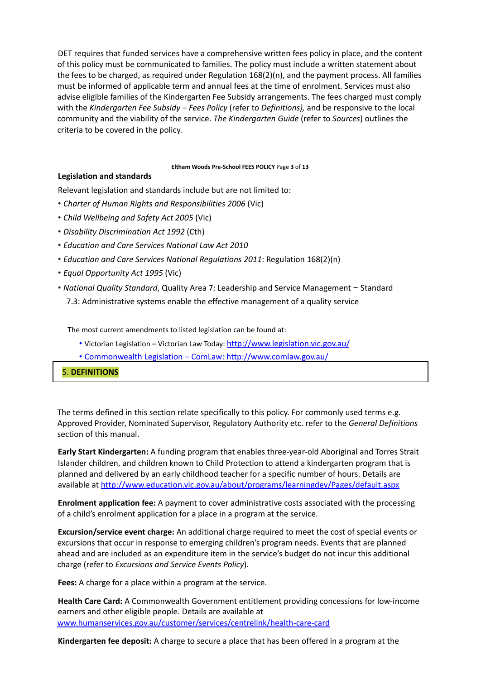DET requires that funded services have a comprehensive written fees policy in place, and the content of this policy must be communicated to families. The policy must include a written statement about the fees to be charged, as required under Regulation 168(2)(n), and the payment process. All families must be informed of applicable term and annual fees at the time of enrolment. Services must also advise eligible families of the Kindergarten Fee Subsidy arrangements. The fees charged must comply with the *Kindergarten Fee Subsidy – Fees Policy* (refer to *Definitions),* and be responsive to the local community and the viability of the service. *The Kindergarten Guide* (refer to *Sources*) outlines the criteria to be covered in the policy.

#### **Eltham Woods Pre-School FEES POLICY** Page **3** of **13**

#### **Legislation and standards**

Relevant legislation and standards include but are not limited to:

- *Charter of Human Rights and Responsibilities 2006* (Vic)
- *Child Wellbeing and Safety Act 2005* (Vic)
- *Disability Discrimination Act 1992* (Cth)
- *Education and Care Services National Law Act 2010*
- *Education and Care Services National Regulations 2011*: Regulation 168(2)(n)
- *Equal Opportunity Act 1995* (Vic)
- *National Quality Standard*, Quality Area 7: Leadership and Service Management − Standard 7.3: Administrative systems enable the effective management of a quality service

The most current amendments to listed legislation can be found at:

- Victorian Legislation Victorian Law Today: http://www.legislation.vic.gov.au/
- Commonwealth Legislation ComLaw: http://www.comlaw.gov.au/

5. **DEFINITIONS**

The terms defined in this section relate specifically to this policy. For commonly used terms e.g. Approved Provider, Nominated Supervisor, Regulatory Authority etc. refer to the *General Definitions* section of this manual.

**Early Start Kindergarten:** A funding program that enables three-year-old Aboriginal and Torres Strait Islander children, and children known to Child Protection to attend a kindergarten program that is planned and delivered by an early childhood teacher for a specific number of hours. Details are available at http://www.education.vic.gov.au/about/programs/learningdev/Pages/default.aspx

**Enrolment application fee:** A payment to cover administrative costs associated with the processing of a child's enrolment application for a place in a program at the service.

**Excursion/service event charge:** An additional charge required to meet the cost of special events or excursions that occur in response to emerging children's program needs. Events that are planned ahead and are included as an expenditure item in the service's budget do not incur this additional charge (refer to *Excursions and Service Events Policy*).

**Fees:** A charge for a place within a program at the service.

**Health Care Card:** A Commonwealth Government entitlement providing concessions for low-income earners and other eligible people. Details are available at www.humanservices.gov.au/customer/services/centrelink/health-care-card

**Kindergarten fee deposit:** A charge to secure a place that has been offered in a program at the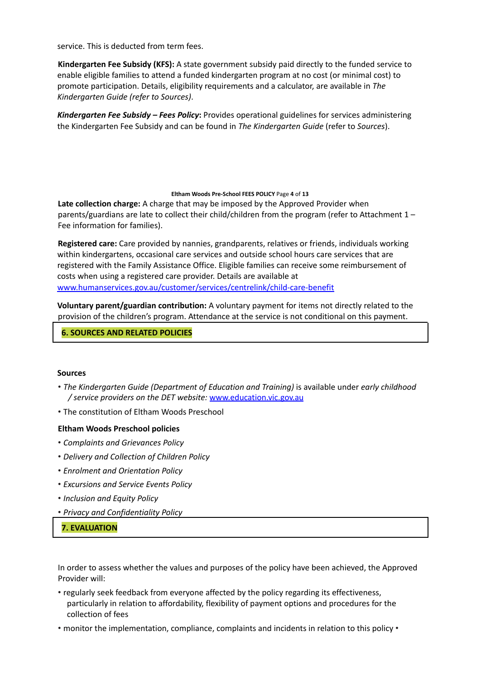service. This is deducted from term fees.

**Kindergarten Fee Subsidy (KFS):** A state government subsidy paid directly to the funded service to enable eligible families to attend a funded kindergarten program at no cost (or minimal cost) to promote participation. Details, eligibility requirements and a calculator, are available in *The Kindergarten Guide (refer to Sources)*.

*Kindergarten Fee Subsidy – Fees Policy***:** Provides operational guidelines for services administering the Kindergarten Fee Subsidy and can be found in *The Kindergarten Guide* (refer to *Sources*).

#### **Eltham Woods Pre-School FEES POLICY** Page **4** of **13**

**Late collection charge:** A charge that may be imposed by the Approved Provider when parents/guardians are late to collect their child/children from the program (refer to Attachment 1 – Fee information for families).

**Registered care:** Care provided by nannies, grandparents, relatives or friends, individuals working within kindergartens, occasional care services and outside school hours care services that are registered with the Family Assistance Office. Eligible families can receive some reimbursement of costs when using a registered care provider. Details are available at www.humanservices.gov.au/customer/services/centrelink/child-care-benefit

**Voluntary parent/guardian contribution:** A voluntary payment for items not directly related to the provision of the children's program. Attendance at the service is not conditional on this payment.

#### **6. SOURCES AND RELATED POLICIES**

### **Sources**

- *The Kindergarten Guide (Department of Education and Training)* is available under *early childhood / service providers on the DET website:* www.education.vic.gov.au
- The constitution of Eltham Woods Preschool

#### **Eltham Woods Preschool policies**

- *Complaints and Grievances Policy*
- *Delivery and Collection of Children Policy*
- *Enrolment and Orientation Policy*
- *Excursions and Service Events Policy*
- *Inclusion and Equity Policy*
- *Privacy and Confidentiality Policy*

### **7. EVALUATION**

In order to assess whether the values and purposes of the policy have been achieved, the Approved Provider will:

- regularly seek feedback from everyone affected by the policy regarding its effectiveness, particularly in relation to affordability, flexibility of payment options and procedures for the collection of fees
- monitor the implementation, compliance, complaints and incidents in relation to this policy •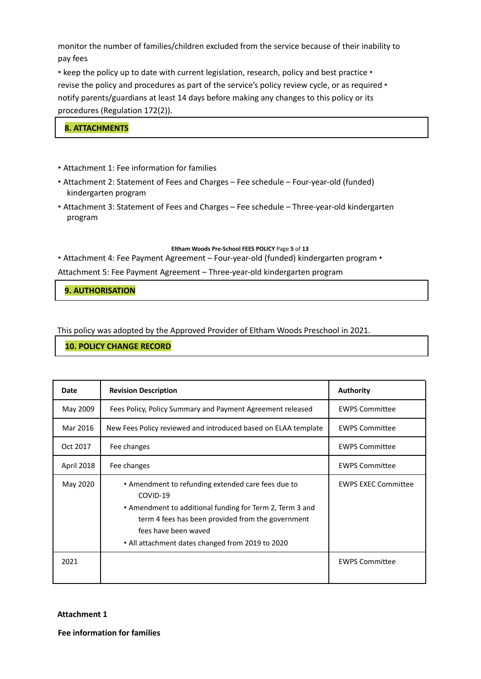monitor the number of families/children excluded from the service because of their inability to pay fees

• keep the policy up to date with current legislation, research, policy and best practice • revise the policy and procedures as part of the service's policy review cycle, or as required • notify parents/guardians at least 14 days before making any changes to this policy or its procedures (Regulation 172(2)).

# **8. ATTACHMENTS**

- Attachment 1: Fee information for families
- Attachment 2: Statement of Fees and Charges Fee schedule Four-year-old (funded) kindergarten program
- Attachment 3: Statement of Fees and Charges Fee schedule Three-year-old kindergarten program

#### **Eltham Woods Pre-School FEES POLICY** Page **5** of **13**

• Attachment 4: Fee Payment Agreement – Four-year-old (funded) kindergarten program •

Attachment 5: Fee Payment Agreement – Three-year-old kindergarten program

**9. AUTHORISATION**

This policy was adopted by the Approved Provider of Eltham Woods Preschool in 2021.

### **10. POLICY CHANGE RECORD**

| Date       | <b>Revision Description</b>                                                                                                                                                                                                                                 | <b>Authority</b>           |
|------------|-------------------------------------------------------------------------------------------------------------------------------------------------------------------------------------------------------------------------------------------------------------|----------------------------|
| May 2009   | Fees Policy, Policy Summary and Payment Agreement released                                                                                                                                                                                                  | <b>EWPS Committee</b>      |
| Mar 2016   | New Fees Policy reviewed and introduced based on ELAA template                                                                                                                                                                                              | <b>EWPS Committee</b>      |
| Oct 2017   | Fee changes                                                                                                                                                                                                                                                 | <b>EWPS Committee</b>      |
| April 2018 | Fee changes                                                                                                                                                                                                                                                 | <b>EWPS Committee</b>      |
| May 2020   | • Amendment to refunding extended care fees due to<br>COVID-19<br>• Amendment to additional funding for Term 2, Term 3 and<br>term 4 fees has been provided from the government<br>fees have been waved<br>• All attachment dates changed from 2019 to 2020 | <b>EWPS EXEC Committee</b> |
| 2021       |                                                                                                                                                                                                                                                             | <b>EWPS Committee</b>      |

**Attachment 1**

**Fee information for families**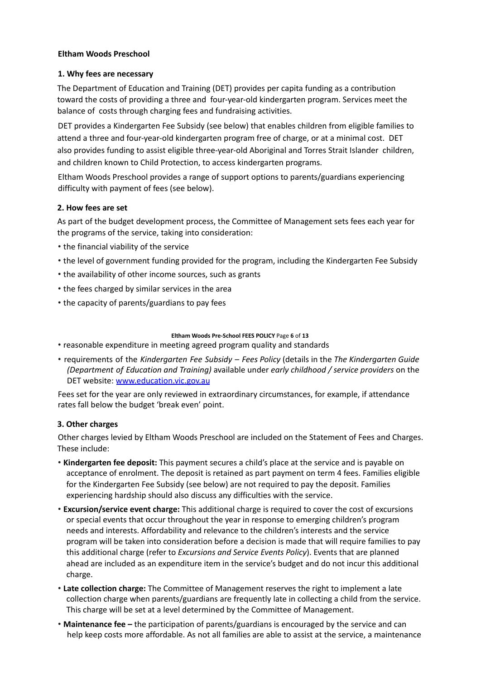### **Eltham Woods Preschool**

### **1. Why fees are necessary**

The Department of Education and Training (DET) provides per capita funding as a contribution toward the costs of providing a three and four-year-old kindergarten program. Services meet the balance of costs through charging fees and fundraising activities.

DET provides a Kindergarten Fee Subsidy (see below) that enables children from eligible families to attend a three and four-year-old kindergarten program free of charge, or at a minimal cost. DET also provides funding to assist eligible three-year-old Aboriginal and Torres Strait Islander children, and children known to Child Protection, to access kindergarten programs.

Eltham Woods Preschool provides a range of support options to parents/guardians experiencing difficulty with payment of fees (see below).

# **2. How fees are set**

As part of the budget development process, the Committee of Management sets fees each year for the programs of the service, taking into consideration:

- the financial viability of the service
- the level of government funding provided for the program, including the Kindergarten Fee Subsidy
- the availability of other income sources, such as grants
- the fees charged by similar services in the area
- the capacity of parents/guardians to pay fees

#### **Eltham Woods Pre-School FEES POLICY** Page **6** of **13**

- reasonable expenditure in meeting agreed program quality and standards
- requirements of the *Kindergarten Fee Subsidy – Fees Policy* (details in the *The Kindergarten Guide (Department of Education and Training)* available under *early childhood / service providers* on the DET website: www.education.vic.gov.au

Fees set for the year are only reviewed in extraordinary circumstances, for example, if attendance rates fall below the budget 'break even' point.

### **3. Other charges**

Other charges levied by Eltham Woods Preschool are included on the Statement of Fees and Charges. These include:

- **Kindergarten fee deposit:** This payment secures a child's place at the service and is payable on acceptance of enrolment. The deposit is retained as part payment on term 4 fees. Families eligible for the Kindergarten Fee Subsidy (see below) are not required to pay the deposit. Families experiencing hardship should also discuss any difficulties with the service.
- **Excursion/service event charge:** This additional charge is required to cover the cost of excursions or special events that occur throughout the year in response to emerging children's program needs and interests. Affordability and relevance to the children's interests and the service program will be taken into consideration before a decision is made that will require families to pay this additional charge (refer to *Excursions and Service Events Policy*). Events that are planned ahead are included as an expenditure item in the service's budget and do not incur this additional charge.
- **Late collection charge:** The Committee of Management reserves the right to implement a late collection charge when parents/guardians are frequently late in collecting a child from the service. This charge will be set at a level determined by the Committee of Management.
- **Maintenance fee –** the participation of parents/guardians is encouraged by the service and can help keep costs more affordable. As not all families are able to assist at the service, a maintenance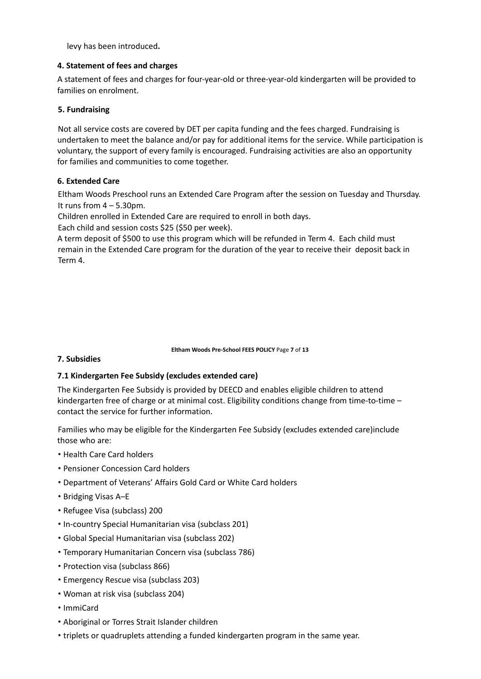levy has been introduced**.**

### **4. Statement of fees and charges**

A statement of fees and charges for four-year-old or three-year-old kindergarten will be provided to families on enrolment.

# **5. Fundraising**

Not all service costs are covered by DET per capita funding and the fees charged. Fundraising is undertaken to meet the balance and/or pay for additional items for the service. While participation is voluntary, the support of every family is encouraged. Fundraising activities are also an opportunity for families and communities to come together.

# **6. Extended Care**

Eltham Woods Preschool runs an Extended Care Program after the session on Tuesday and Thursday. It runs from  $4 - 5.30$ pm.

Children enrolled in Extended Care are required to enroll in both days.

Each child and session costs \$25 (\$50 per week).

A term deposit of \$500 to use this program which will be refunded in Term 4. Each child must remain in the Extended Care program for the duration of the year to receive their deposit back in Term 4.

#### **Eltham Woods Pre-School FEES POLICY** Page **7** of **13**

### **7. Subsidies**

# **7.1 Kindergarten Fee Subsidy (excludes extended care)**

The Kindergarten Fee Subsidy is provided by DEECD and enables eligible children to attend kindergarten free of charge or at minimal cost. Eligibility conditions change from time-to-time – contact the service for further information.

Families who may be eligible for the Kindergarten Fee Subsidy (excludes extended care)include those who are:

- Health Care Card holders
- Pensioner Concession Card holders
- Department of Veterans' Affairs Gold Card or White Card holders
- Bridging Visas A–E
- Refugee Visa (subclass) 200
- In-country Special Humanitarian visa (subclass 201)
- Global Special Humanitarian visa (subclass 202)
- Temporary Humanitarian Concern visa (subclass 786)
- Protection visa (subclass 866)
- Emergency Rescue visa (subclass 203)
- Woman at risk visa (subclass 204)
- ImmiCard
- Aboriginal or Torres Strait Islander children
- triplets or quadruplets attending a funded kindergarten program in the same year.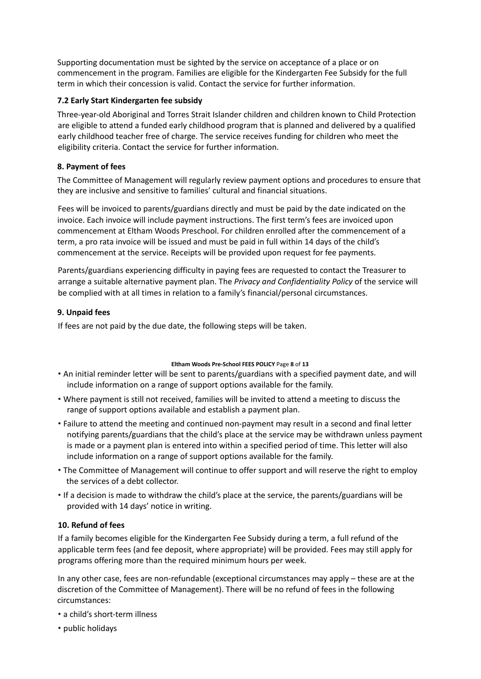Supporting documentation must be sighted by the service on acceptance of a place or on commencement in the program. Families are eligible for the Kindergarten Fee Subsidy for the full term in which their concession is valid. Contact the service for further information.

# **7.2 Early Start Kindergarten fee subsidy**

Three-year-old Aboriginal and Torres Strait Islander children and children known to Child Protection are eligible to attend a funded early childhood program that is planned and delivered by a qualified early childhood teacher free of charge. The service receives funding for children who meet the eligibility criteria. Contact the service for further information.

# **8. Payment of fees**

The Committee of Management will regularly review payment options and procedures to ensure that they are inclusive and sensitive to families' cultural and financial situations.

Fees will be invoiced to parents/guardians directly and must be paid by the date indicated on the invoice. Each invoice will include payment instructions. The first term's fees are invoiced upon commencement at Eltham Woods Preschool. For children enrolled after the commencement of a term, a pro rata invoice will be issued and must be paid in full within 14 days of the child's commencement at the service. Receipts will be provided upon request for fee payments.

Parents/guardians experiencing difficulty in paying fees are requested to contact the Treasurer to arrange a suitable alternative payment plan. The *Privacy and Confidentiality Policy* of the service will be complied with at all times in relation to a family's financial/personal circumstances.

# **9. Unpaid fees**

If fees are not paid by the due date, the following steps will be taken.

### **Eltham Woods Pre-School FEES POLICY** Page **8** of **13**

- An initial reminder letter will be sent to parents/guardians with a specified payment date, and will include information on a range of support options available for the family.
- Where payment is still not received, families will be invited to attend a meeting to discuss the range of support options available and establish a payment plan.
- Failure to attend the meeting and continued non-payment may result in a second and final letter notifying parents/guardians that the child's place at the service may be withdrawn unless payment is made or a payment plan is entered into within a specified period of time. This letter will also include information on a range of support options available for the family.
- The Committee of Management will continue to offer support and will reserve the right to employ the services of a debt collector.
- If a decision is made to withdraw the child's place at the service, the parents/guardians will be provided with 14 days' notice in writing.

# **10. Refund of fees**

If a family becomes eligible for the Kindergarten Fee Subsidy during a term, a full refund of the applicable term fees (and fee deposit, where appropriate) will be provided. Fees may still apply for programs offering more than the required minimum hours per week.

In any other case, fees are non-refundable (exceptional circumstances may apply – these are at the discretion of the Committee of Management). There will be no refund of fees in the following circumstances:

- a child's short-term illness
- public holidays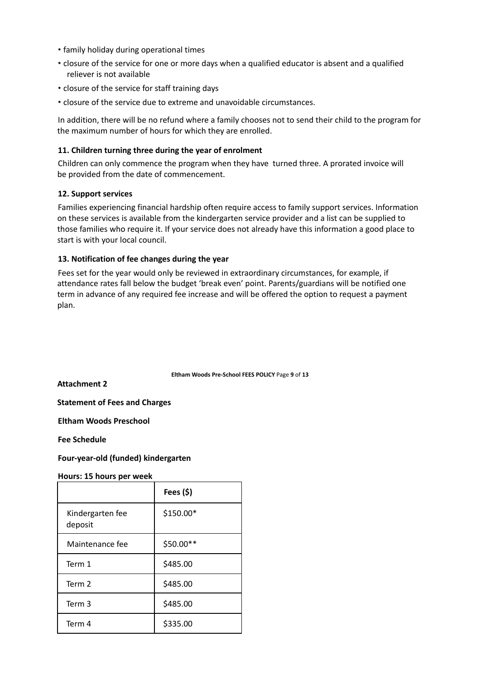- family holiday during operational times
- closure of the service for one or more days when a qualified educator is absent and a qualified reliever is not available
- closure of the service for staff training days
- closure of the service due to extreme and unavoidable circumstances.

In addition, there will be no refund where a family chooses not to send their child to the program for the maximum number of hours for which they are enrolled.

#### **11. Children turning three during the year of enrolment**

Children can only commence the program when they have turned three. A prorated invoice will be provided from the date of commencement.

#### **12. Support services**

Families experiencing financial hardship often require access to family support services. Information on these services is available from the kindergarten service provider and a list can be supplied to those families who require it. If your service does not already have this information a good place to start is with your local council.

#### **13. Notification of fee changes during the year**

Fees set for the year would only be reviewed in extraordinary circumstances, for example, if attendance rates fall below the budget 'break even' point. Parents/guardians will be notified one term in advance of any required fee increase and will be offered the option to request a payment plan.

**Eltham Woods Pre-School FEES POLICY** Page **9** of **13**

**Attachment 2**

**Statement of Fees and Charges**

**Eltham Woods Preschool**

**Fee Schedule**

**Four-year-old (funded) kindergarten**

**Hours: 15 hours per week**

|                             | Fees $(5)$ |
|-----------------------------|------------|
| Kindergarten fee<br>deposit | \$150.00*  |
| Maintenance fee             | \$50.00**  |
| Term 1                      | \$485.00   |
| Term 2                      | \$485.00   |
| Term 3                      | \$485.00   |
| Term 4                      | \$335.00   |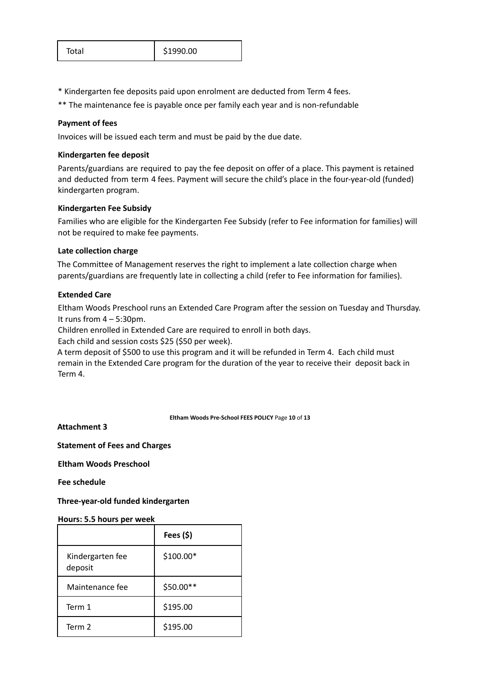\* Kindergarten fee deposits paid upon enrolment are deducted from Term 4 fees.

\*\* The maintenance fee is payable once per family each year and is non-refundable

### **Payment of fees**

Invoices will be issued each term and must be paid by the due date.

### **Kindergarten fee deposit**

Parents/guardians are required to pay the fee deposit on offer of a place. This payment is retained and deducted from term 4 fees. Payment will secure the child's place in the four-year-old (funded) kindergarten program.

# **Kindergarten Fee Subsidy**

Families who are eligible for the Kindergarten Fee Subsidy (refer to Fee information for families) will not be required to make fee payments.

# **Late collection charge**

The Committee of Management reserves the right to implement a late collection charge when parents/guardians are frequently late in collecting a child (refer to Fee information for families).

# **Extended Care**

Eltham Woods Preschool runs an Extended Care Program after the session on Tuesday and Thursday. It runs from  $4 - 5:30$ pm.

Children enrolled in Extended Care are required to enroll in both days.

Each child and session costs \$25 (\$50 per week).

A term deposit of \$500 to use this program and it will be refunded in Term 4. Each child must remain in the Extended Care program for the duration of the year to receive their deposit back in Term 4.

#### **Eltham Woods Pre-School FEES POLICY** Page **10** of **13**

**Attachment 3**

**Statement of Fees and Charges**

**Eltham Woods Preschool**

**Fee schedule**

**Three-year-old funded kindergarten**

### **Hours: 5.5 hours per week**

|                             | Fees $(5)$ |
|-----------------------------|------------|
| Kindergarten fee<br>deposit | \$100.00*  |
| Maintenance fee             | \$50.00**  |
| Term 1                      | \$195.00   |
| Term 2                      | \$195.00   |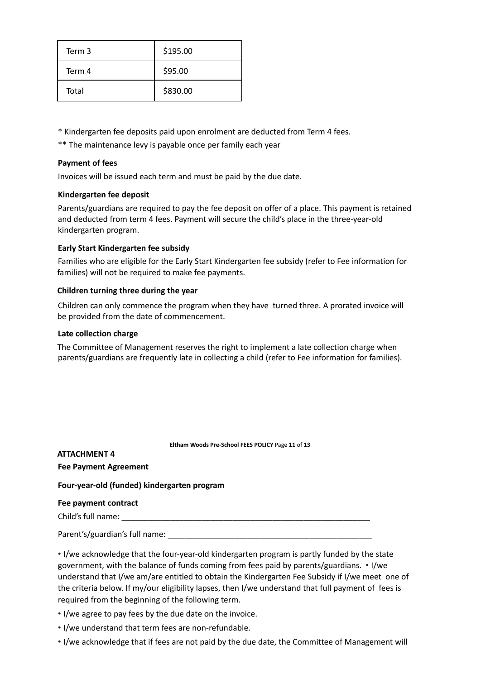| Term 3 | \$195.00 |
|--------|----------|
| Term 4 | \$95.00  |
| Total  | \$830.00 |

\* Kindergarten fee deposits paid upon enrolment are deducted from Term 4 fees.

\*\* The maintenance levy is payable once per family each year

### **Payment of fees**

Invoices will be issued each term and must be paid by the due date.

### **Kindergarten fee deposit**

Parents/guardians are required to pay the fee deposit on offer of a place. This payment is retained and deducted from term 4 fees. Payment will secure the child's place in the three-year-old kindergarten program.

# **Early Start Kindergarten fee subsidy**

Families who are eligible for the Early Start Kindergarten fee subsidy (refer to Fee information for families) will not be required to make fee payments.

### **Children turning three during the year**

Children can only commence the program when they have turned three. A prorated invoice will be provided from the date of commencement.

### **Late collection charge**

The Committee of Management reserves the right to implement a late collection charge when parents/guardians are frequently late in collecting a child (refer to Fee information for families).

**Eltham Woods Pre-School FEES POLICY** Page **11** of **13**

**ATTACHMENT 4 Fee Payment Agreement Four-year-old (funded) kindergarten program Fee payment contract** Child's full name: Parent's/guardian's full name: \_\_\_\_\_\_\_\_\_\_\_\_\_\_\_\_\_\_\_\_\_\_\_\_\_\_\_\_\_\_\_\_\_\_\_\_\_\_\_\_\_\_\_\_\_\_

• I/we acknowledge that the four-year-old kindergarten program is partly funded by the state government, with the balance of funds coming from fees paid by parents/guardians. • I/we understand that I/we am/are entitled to obtain the Kindergarten Fee Subsidy if I/we meet one of the criteria below. If my/our eligibility lapses, then I/we understand that full payment of fees is required from the beginning of the following term.

• I/we agree to pay fees by the due date on the invoice.

• I/we understand that term fees are non-refundable.

• I/we acknowledge that if fees are not paid by the due date, the Committee of Management will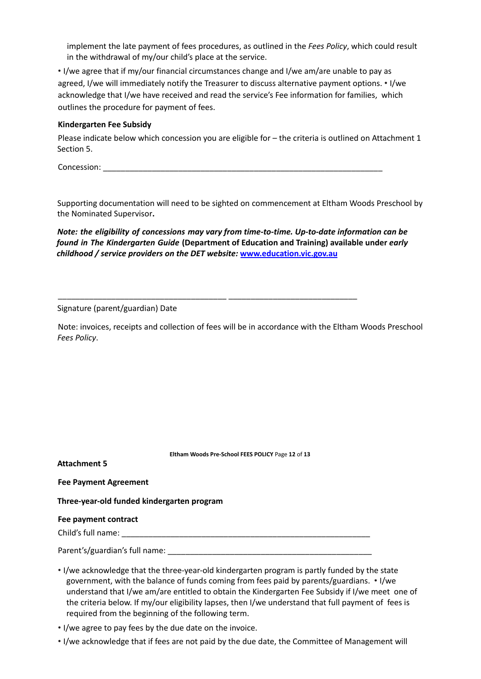implement the late payment of fees procedures, as outlined in the *Fees Policy*, which could result in the withdrawal of my/our child's place at the service.

• I/we agree that if my/our financial circumstances change and I/we am/are unable to pay as agreed, I/we will immediately notify the Treasurer to discuss alternative payment options. • I/we acknowledge that I/we have received and read the service's Fee information for families, which outlines the procedure for payment of fees.

#### **Kindergarten Fee Subsidy**

Please indicate below which concession you are eligible for – the criteria is outlined on Attachment 1 Section 5.

Concession: \_\_\_\_\_\_\_\_\_\_\_\_\_\_\_\_\_\_\_\_\_\_\_\_\_\_\_\_\_\_\_\_\_\_\_\_\_\_\_\_\_\_\_\_\_\_\_\_\_\_\_\_\_\_\_\_\_\_\_\_\_\_\_

Supporting documentation will need to be sighted on commencement at Eltham Woods Preschool by the Nominated Supervisor**.**

# *Note: the eligibility of concessions may vary from time-to-time. Up-to-date information can be found in The Kindergarten Guide* **(Department of Education and Training) available under** *early childhood / service providers on the DET website:* **www.education.vic.gov.au**

\_\_\_\_\_\_\_\_\_\_\_\_\_\_\_\_\_\_\_\_\_\_\_\_\_\_\_\_\_\_\_\_\_\_\_\_\_\_ \_\_\_\_\_\_\_\_\_\_\_\_\_\_\_\_\_\_\_\_\_\_\_\_\_\_\_\_\_

#### Signature (parent/guardian) Date

Note: invoices, receipts and collection of fees will be in accordance with the Eltham Woods Preschool *Fees Policy*.

|                                            | Eltham Woods Pre-School FEES POLICY Page 12 of 13 |  |  |  |
|--------------------------------------------|---------------------------------------------------|--|--|--|
| <b>Attachment 5</b>                        |                                                   |  |  |  |
| <b>Fee Payment Agreement</b>               |                                                   |  |  |  |
| Three-year-old funded kindergarten program |                                                   |  |  |  |
| Fee payment contract                       |                                                   |  |  |  |
| Child's full name:                         |                                                   |  |  |  |
| Parent's/guardian's full name:             |                                                   |  |  |  |

- I/we acknowledge that the three-year-old kindergarten program is partly funded by the state government, with the balance of funds coming from fees paid by parents/guardians. • I/we understand that I/we am/are entitled to obtain the Kindergarten Fee Subsidy if I/we meet one of the criteria below. If my/our eligibility lapses, then I/we understand that full payment of fees is required from the beginning of the following term.
- I/we agree to pay fees by the due date on the invoice.
- I/we acknowledge that if fees are not paid by the due date, the Committee of Management will